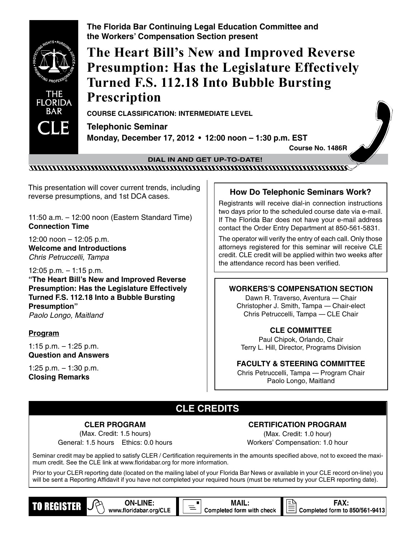

This presentation will cover current trends, including reverse presumptions, and 1st DCA cases. **How Do Telephonic Seminars Work?**

11:50 a.m. – 12:00 noon (Eastern Standard Time) **Connection Time**

12:00 noon – 12:05 p.m. **Welcome and Introductions** Chris Petruccelli, Tampa

12:05 p.m. – 1:15 p.m. **"The Heart Bill's New and Improved Reverse Presumption: Has the Legislature Effectively Turned F.S. 112.18 Into a Bubble Bursting Presumption"** Paolo Longo, Maitland

### **Program**

1:15 p.m. – 1:25 p.m. **Question and Answers**

1:25 p.m. – 1:30 p.m. **Closing Remarks**

Registrants will receive dial-in connection instructions two days prior to the scheduled course date via e-mail. If The Florida Bar does not have your e-mail address contact the Order Entry Department at 850-561-5831.

The operator will verify the entry of each call. Only those attorneys registered for this seminar will receive CLE credit. CLE credit will be applied within two weeks after the attendance record has been verified.

### **workers's compensation SECTION**

Dawn R. Traverso, Aventura — Chair Christopher J. Smith, Tampa — Chair-elect Chris Petruccelli, Tampa — CLE Chair

### **CLE COMMITTEE**

Paul Chipok, Orlando, Chair Terry L. Hill, Director, Programs Division

### **FACULTY & STEERING COMMITTEE**

Chris Petruccelli, Tampa — Program Chair Paolo Longo, Maitland

# **CLE CREDITS**

**CLER PROGRAM** (Max. Credit: 1.5 hours) General: 1.5 hours Ethics: 0.0 hours

**ON-LINE:** 

www.floridabar.org/CLE

#### **CERTIFICATION PROGRAM**

(Max. Credit: 1.0 hour) Workers' Compensation: 1.0 hour

**FAX:** 

Completed form to 850/561-9413

Seminar credit may be applied to satisfy CLER / Certification requirements in the amounts specified above, not to exceed the maximum credit. See the CLE link at www.floridabar.org for more information.

Prior to your CLER reporting date (located on the mailing label of your Florida Bar News or available in your CLE record on-line) you will be sent a Reporting Affidavit if you have not completed your required hours (must be returned by your CLER reporting date).

**MAIL:** 

Completed form with check